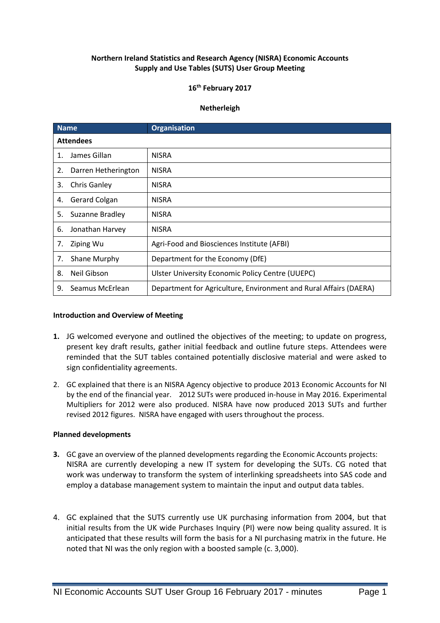# **Northern Ireland Statistics and Research Agency (NISRA) Economic Accounts Supply and Use Tables (SUTS) User Group Meeting**

## **16th February 2017**

## **Netherleigh**

| <b>Name</b>      |                     | <b>Organisation</b>                                               |
|------------------|---------------------|-------------------------------------------------------------------|
| <b>Attendees</b> |                     |                                                                   |
| $\mathbf{1}$ .   | James Gillan        | <b>NISRA</b>                                                      |
| 2.               | Darren Hetherington | <b>NISRA</b>                                                      |
| 3.               | <b>Chris Ganley</b> | <b>NISRA</b>                                                      |
| 4.               | Gerard Colgan       | <b>NISRA</b>                                                      |
| 5.               | Suzanne Bradley     | <b>NISRA</b>                                                      |
| 6.               | Jonathan Harvey     | <b>NISRA</b>                                                      |
| 7.               | Ziping Wu           | Agri-Food and Biosciences Institute (AFBI)                        |
| 7.               | Shane Murphy        | Department for the Economy (DfE)                                  |
| 8.               | Neil Gibson         | Ulster University Economic Policy Centre (UUEPC)                  |
| 9.               | Seamus McErlean     | Department for Agriculture, Environment and Rural Affairs (DAERA) |

#### **Introduction and Overview of Meeting**

- **1.** JG welcomed everyone and outlined the objectives of the meeting; to update on progress, present key draft results, gather initial feedback and outline future steps. Attendees were reminded that the SUT tables contained potentially disclosive material and were asked to sign confidentiality agreements.
- 2. GC explained that there is an NISRA Agency objective to produce 2013 Economic Accounts for NI by the end of the financial year. 2012 SUTs were produced in-house in May 2016. Experimental Multipliers for 2012 were also produced. NISRA have now produced 2013 SUTs and further revised 2012 figures. NISRA have engaged with users throughout the process.

## **Planned developments**

- **3.** GC gave an overview of the planned developments regarding the Economic Accounts projects: NISRA are currently developing a new IT system for developing the SUTs. CG noted that work was underway to transform the system of interlinking spreadsheets into SAS code and employ a database management system to maintain the input and output data tables.
- 4. GC explained that the SUTS currently use UK purchasing information from 2004, but that initial results from the UK wide Purchases Inquiry (PI) were now being quality assured. It is anticipated that these results will form the basis for a NI purchasing matrix in the future. He noted that NI was the only region with a boosted sample (c. 3,000).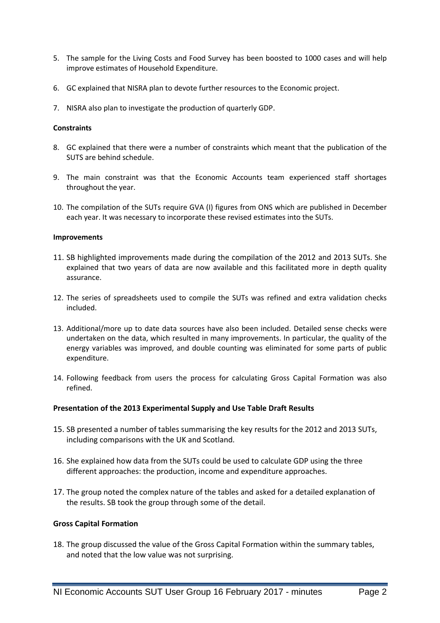- 5. The sample for the Living Costs and Food Survey has been boosted to 1000 cases and will help improve estimates of Household Expenditure.
- 6. GC explained that NISRA plan to devote further resources to the Economic project.
- 7. NISRA also plan to investigate the production of quarterly GDP.

# **Constraints**

- 8. GC explained that there were a number of constraints which meant that the publication of the SUTS are behind schedule.
- 9. The main constraint was that the Economic Accounts team experienced staff shortages throughout the year.
- 10. The compilation of the SUTs require GVA (I) figures from ONS which are published in December each year. It was necessary to incorporate these revised estimates into the SUTs.

#### **Improvements**

- 11. SB highlighted improvements made during the compilation of the 2012 and 2013 SUTs. She explained that two years of data are now available and this facilitated more in depth quality assurance.
- 12. The series of spreadsheets used to compile the SUTs was refined and extra validation checks included.
- 13. Additional/more up to date data sources have also been included. Detailed sense checks were undertaken on the data, which resulted in many improvements. In particular, the quality of the energy variables was improved, and double counting was eliminated for some parts of public expenditure.
- 14. Following feedback from users the process for calculating Gross Capital Formation was also refined.

#### **Presentation of the 2013 Experimental Supply and Use Table Draft Results**

- 15. SB presented a number of tables summarising the key results for the 2012 and 2013 SUTs, including comparisons with the UK and Scotland.
- 16. She explained how data from the SUTs could be used to calculate GDP using the three different approaches: the production, income and expenditure approaches.
- 17. The group noted the complex nature of the tables and asked for a detailed explanation of the results. SB took the group through some of the detail.

#### **Gross Capital Formation**

18. The group discussed the value of the Gross Capital Formation within the summary tables, and noted that the low value was not surprising.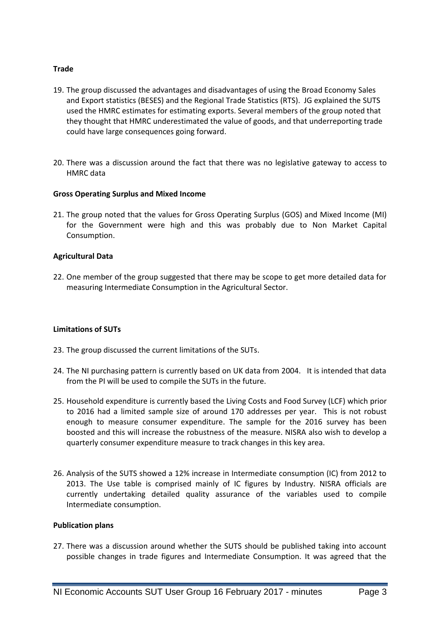# **Trade**

- 19. The group discussed the advantages and disadvantages of using the Broad Economy Sales and Export statistics (BESES) and the Regional Trade Statistics (RTS). JG explained the SUTS used the HMRC estimates for estimating exports. Several members of the group noted that they thought that HMRC underestimated the value of goods, and that underreporting trade could have large consequences going forward.
- 20. There was a discussion around the fact that there was no legislative gateway to access to HMRC data

#### **Gross Operating Surplus and Mixed Income**

21. The group noted that the values for Gross Operating Surplus (GOS) and Mixed Income (MI) for the Government were high and this was probably due to Non Market Capital Consumption.

# **Agricultural Data**

22. One member of the group suggested that there may be scope to get more detailed data for measuring Intermediate Consumption in the Agricultural Sector.

#### **Limitations of SUTs**

- 23. The group discussed the current limitations of the SUTs.
- 24. The NI purchasing pattern is currently based on UK data from 2004. It is intended that data from the PI will be used to compile the SUTs in the future.
- 25. Household expenditure is currently based the Living Costs and Food Survey (LCF) which prior to 2016 had a limited sample size of around 170 addresses per year. This is not robust enough to measure consumer expenditure. The sample for the 2016 survey has been boosted and this will increase the robustness of the measure. NISRA also wish to develop a quarterly consumer expenditure measure to track changes in this key area.
- 26. Analysis of the SUTS showed a 12% increase in Intermediate consumption (IC) from 2012 to 2013. The Use table is comprised mainly of IC figures by Industry. NISRA officials are currently undertaking detailed quality assurance of the variables used to compile Intermediate consumption.

#### **Publication plans**

27. There was a discussion around whether the SUTS should be published taking into account possible changes in trade figures and Intermediate Consumption. It was agreed that the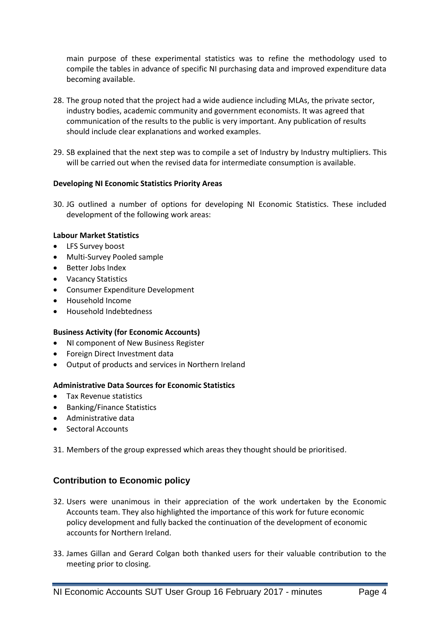main purpose of these experimental statistics was to refine the methodology used to compile the tables in advance of specific NI purchasing data and improved expenditure data becoming available.

- 28. The group noted that the project had a wide audience including MLAs, the private sector, industry bodies, academic community and government economists. It was agreed that communication of the results to the public is very important. Any publication of results should include clear explanations and worked examples.
- 29. SB explained that the next step was to compile a set of Industry by Industry multipliers. This will be carried out when the revised data for intermediate consumption is available.

# **Developing NI Economic Statistics Priority Areas**

30. JG outlined a number of options for developing NI Economic Statistics. These included development of the following work areas:

# **Labour Market Statistics**

- LFS Survey boost
- Multi-Survey Pooled sample
- Better Jobs Index
- Vacancy Statistics
- Consumer Expenditure Development
- Household Income
- Household Indebtedness

#### **Business Activity (for Economic Accounts)**

- NI component of New Business Register
- Foreign Direct Investment data
- Output of products and services in Northern Ireland

#### **Administrative Data Sources for Economic Statistics**

- **•** Tax Revenue statistics
- Banking/Finance Statistics
- Administrative data
- Sectoral Accounts

31. Members of the group expressed which areas they thought should be prioritised.

# **Contribution to Economic policy**

- 32. Users were unanimous in their appreciation of the work undertaken by the Economic Accounts team. They also highlighted the importance of this work for future economic policy development and fully backed the continuation of the development of economic accounts for Northern Ireland.
- 33. James Gillan and Gerard Colgan both thanked users for their valuable contribution to the meeting prior to closing.